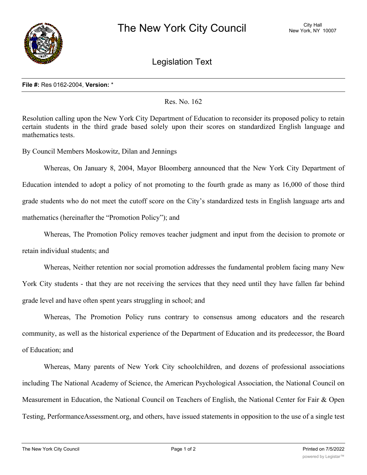

Legislation Text

## **File #:** Res 0162-2004, **Version:** \*

## Res. No. 162

Resolution calling upon the New York City Department of Education to reconsider its proposed policy to retain certain students in the third grade based solely upon their scores on standardized English language and mathematics tests.

By Council Members Moskowitz, Dilan and Jennings

Whereas, On January 8, 2004, Mayor Bloomberg announced that the New York City Department of Education intended to adopt a policy of not promoting to the fourth grade as many as 16,000 of those third grade students who do not meet the cutoff score on the City's standardized tests in English language arts and mathematics (hereinafter the "Promotion Policy"); and

Whereas, The Promotion Policy removes teacher judgment and input from the decision to promote or retain individual students; and

Whereas, Neither retention nor social promotion addresses the fundamental problem facing many New York City students - that they are not receiving the services that they need until they have fallen far behind grade level and have often spent years struggling in school; and

Whereas, The Promotion Policy runs contrary to consensus among educators and the research community, as well as the historical experience of the Department of Education and its predecessor, the Board of Education; and

Whereas, Many parents of New York City schoolchildren, and dozens of professional associations including The National Academy of Science, the American Psychological Association, the National Council on Measurement in Education, the National Council on Teachers of English, the National Center for Fair & Open Testing, PerformanceAssessment.org, and others, have issued statements in opposition to the use of a single test